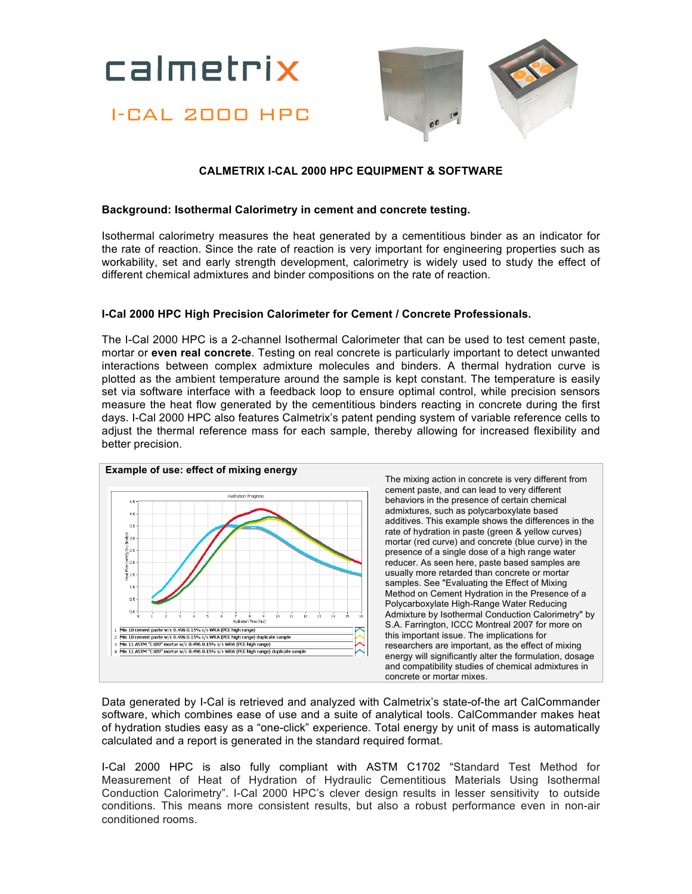calmetrix

# I-CAL 2000 HPC



## **CALMETRIX I-CAL 2000 HPC EQUIPMENT & SOFTWARE**

#### **Background: Isothermal Calorimetry in cement and concrete testing.**

Isothermal calorimetry measures the heat generated by a cementitious binder as an indicator for the rate of reaction. Since the rate of reaction is very important for engineering properties such as workability, set and early strength development, calorimetry is widely used to study the effect of different chemical admixtures and binder compositions on the rate of reaction.

### **I-Cal 2000 HPC High Precision Calorimeter for Cement / Concrete Professionals.**

The I-Cal 2000 HPC is a 2-channel Isothermal Calorimeter that can be used to test cement paste, mortar or **even real concrete**. Testing on real concrete is particularly important to detect unwanted interactions between complex admixture molecules and binders. A thermal hydration curve is plotted as the ambient temperature around the sample is kept constant. The temperature is easily set via software interface with a feedback loop to ensure optimal control, while precision sensors measure the heat flow generated by the cementitious binders reacting in concrete during the first days. I-Cal 2000 HPC also features Calmetrix's patent pending system of variable reference cells to adjust the thermal reference mass for each sample, thereby allowing for increased flexibility and better precision.



Data generated by I-Cal is retrieved and analyzed with Calmetrix's state-of-the art CalCommander software, which combines ease of use and a suite of analytical tools. CalCommander makes heat of hydration studies easy as a "one-click" experience. Total energy by unit of mass is automatically calculated and a report is generated in the standard required format.

I-Cal 2000 HPC is also fully compliant with ASTM C1702 "Standard Test Method for Measurement of Heat of Hydration of Hydraulic Cementitious Materials Using Isothermal Conduction Calorimetry". I-Cal 2000 HPC's clever design results in lesser sensitivity to outside conditions. This means more consistent results, but also a robust performance even in non-air conditioned rooms.